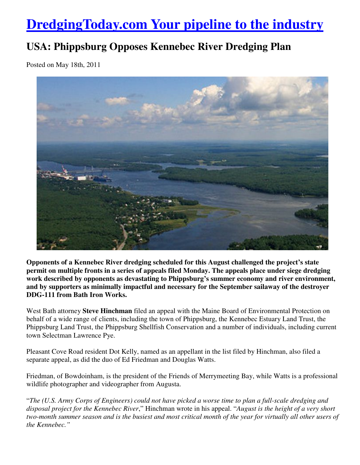## **DredgingToday.com Your pipeline to the industry**

## **USA: Phippsburg Opposes Kennebec River Dredging Plan**

Posted on May 18th, 2011



**Opponents of a Kennebec River dredging scheduled for this August challenged the project's state permit on multiple fronts in a series of appeals filed Monday. The appeals place under siege dredging work described by opponents as devastating to Phippsburg's summer economy and river environment, and by supporters as minimally impactful and necessary for the September sailaway of the destroyer DDG-111 from Bath Iron Works.**

West Bath attorney **Steve Hinchman** filed an appeal with the Maine Board of Environmental Protection on behalf of a wide range of clients, including the town of Phippsburg, the Kennebec Estuary Land Trust, the Phippsburg Land Trust, the Phippsburg Shellfish Conservation and a number of individuals, including current town Selectman Lawrence Pye.

Pleasant Cove Road resident Dot Kelly, named as an appellant in the list filed by Hinchman, also filed a separate appeal, as did the duo of Ed Friedman and Douglas Watts.

Friedman, of Bowdoinham, is the president of the Friends of Merrymeeting Bay, while Watts is a professional wildlife photographer and videographer from Augusta.

"*The (U.S. Army Corps of Engineers) could not have picked a worse time to plan a full-scale dredging and disposal project for the Kennebec River*," Hinchman wrote in his appeal. "*August is the height of a very short two-month summer season and is the busiest and most critical month of the year for virtually all other users of the Kennebec."*